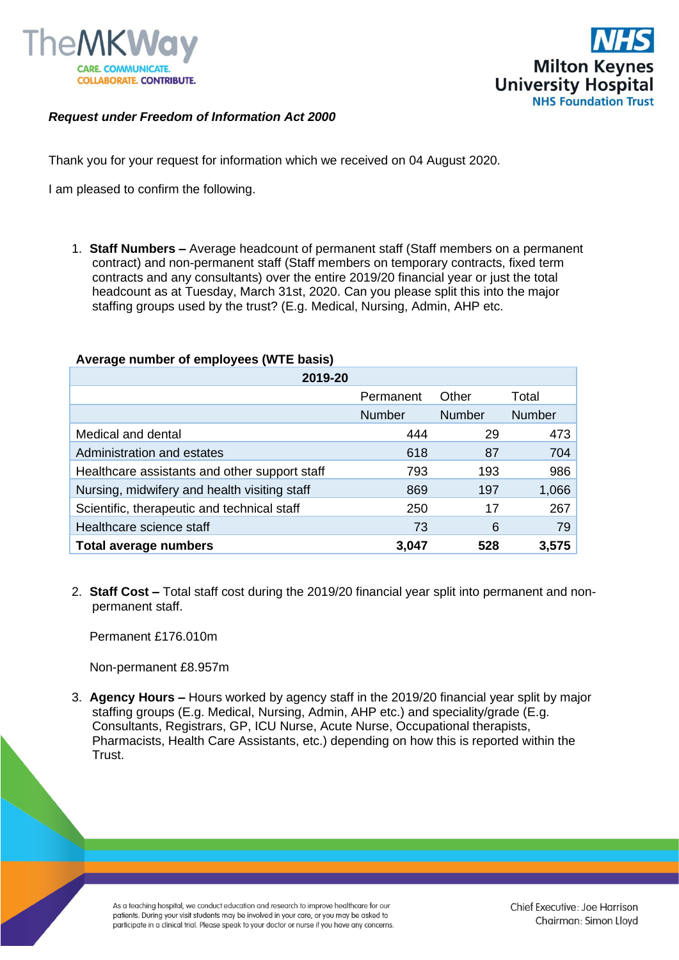



## *Request under Freedom of Information Act 2000*

Thank you for your request for information which we received on 04 August 2020.

I am pleased to confirm the following.

1. **Staff Numbers –** Average headcount of permanent staff (Staff members on a permanent contract) and non-permanent staff (Staff members on temporary contracts, fixed term contracts and any consultants) over the entire 2019/20 financial year or just the total headcount as at Tuesday, March 31st, 2020. Can you please split this into the major staffing groups used by the trust? (E.g. Medical, Nursing, Admin, AHP etc.

## **Average number of employees (WTE basis)**

| 2019-20                                       |               |               |               |  |
|-----------------------------------------------|---------------|---------------|---------------|--|
|                                               | Permanent     | Other         | Total         |  |
|                                               | <b>Number</b> | <b>Number</b> | <b>Number</b> |  |
| Medical and dental                            | 444           | 29            | 473           |  |
| Administration and estates                    | 618           | 87            | 704           |  |
| Healthcare assistants and other support staff | 793           | 193           | 986           |  |
| Nursing, midwifery and health visiting staff  | 869           | 197           | 1,066         |  |
| Scientific, therapeutic and technical staff   | 250           | 17            | 267           |  |
| Healthcare science staff                      | 73            | 6             | 79            |  |
| <b>Total average numbers</b>                  | 3,047         | 528           | 3,575         |  |

2. **Staff Cost –** Total staff cost during the 2019/20 financial year split into permanent and nonpermanent staff.

Permanent £176.010m

Non-permanent £8.957m

3. **Agency Hours –** Hours worked by agency staff in the 2019/20 financial year split by major staffing groups (E.g. Medical, Nursing, Admin, AHP etc.) and speciality/grade (E.g. Consultants, Registrars, GP, ICU Nurse, Acute Nurse, Occupational therapists, Pharmacists, Health Care Assistants, etc.) depending on how this is reported within the Trust.

As a teaching hospital, we conduct education and research to improve healthcare for our patients. During your visit students may be involved in your care, or you may be asked to participate in a clinical trial. Please speak to your doctor or nurse if you have any concerns.